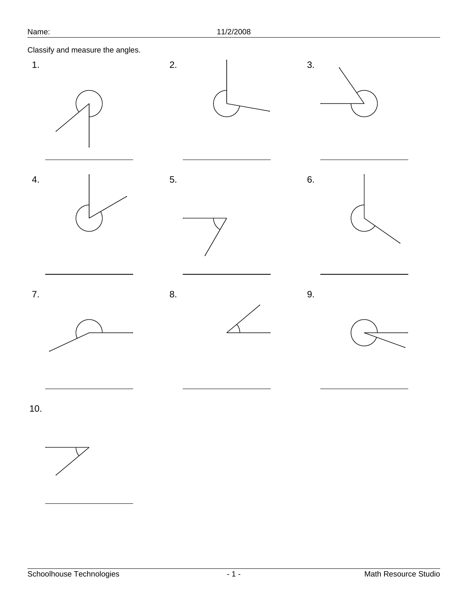Classify and measure the angles.

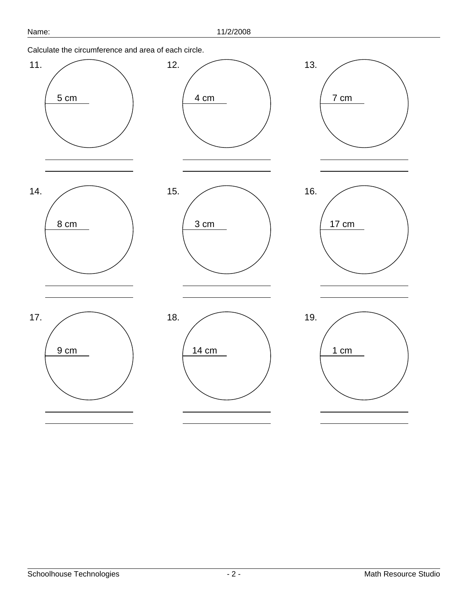Calculate the circumference and area of each circle.

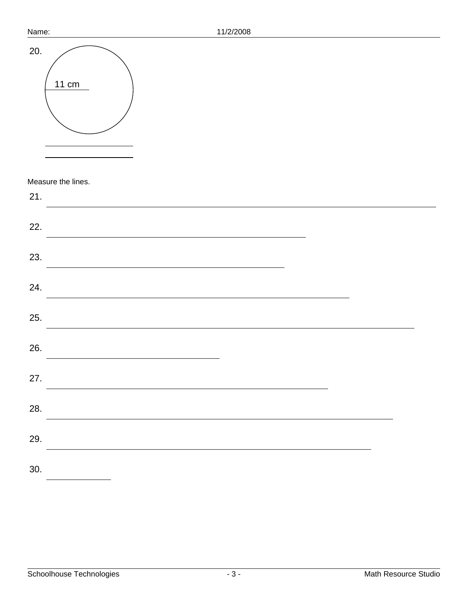| Name: | 11/2/2008          |
|-------|--------------------|
| 20.   | 11 cm              |
|       | Measure the lines. |
| 21.   |                    |
| 22.   |                    |
| 23.   |                    |
| 24.   |                    |
| 25.   |                    |
| 26.   |                    |
| 27.   |                    |
| 28.   |                    |
| 29.   |                    |
| 30.   |                    |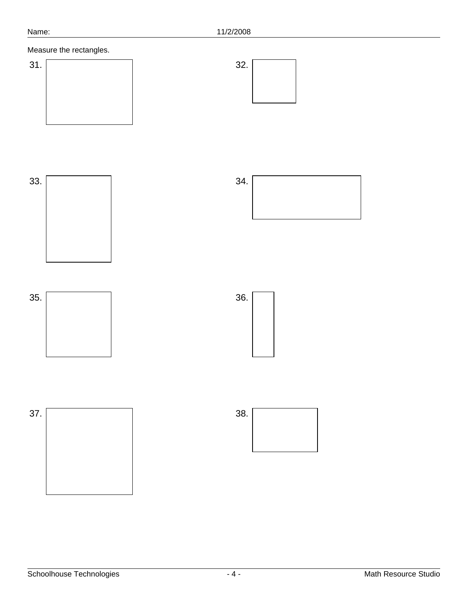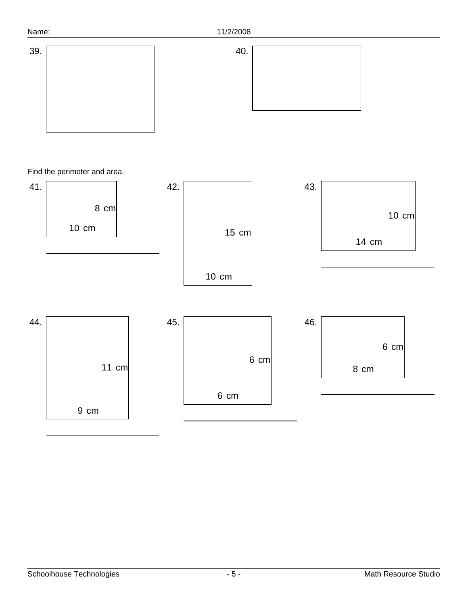



## Find the perimeter and area.

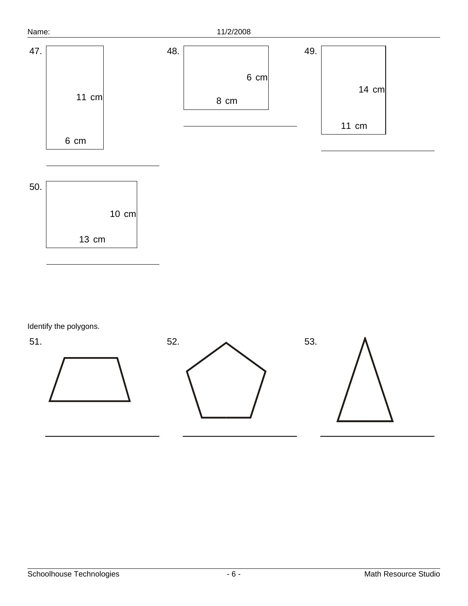

Identify the polygons.

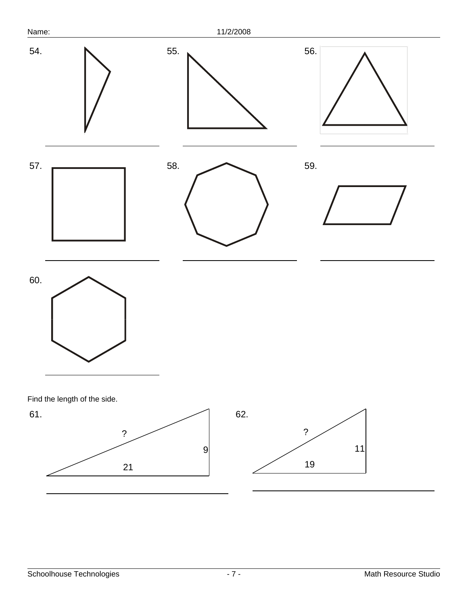